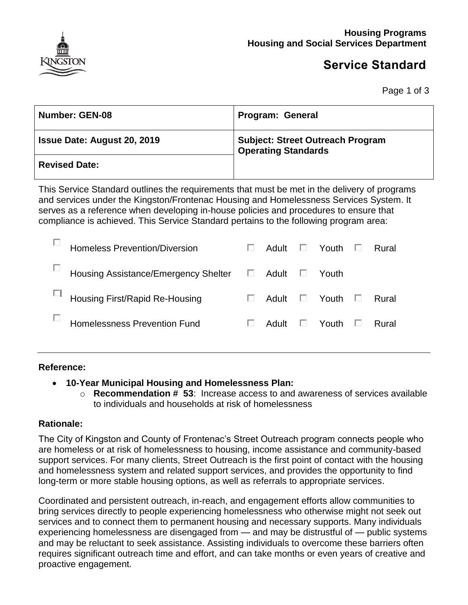

# **Service Standard**

Page 1 of 3

| <b>Number: GEN-08</b>              | <b>Program: General</b>                                               |
|------------------------------------|-----------------------------------------------------------------------|
| <b>Issue Date: August 20, 2019</b> | <b>Subject: Street Outreach Program</b><br><b>Operating Standards</b> |
| <b>Revised Date:</b>               |                                                                       |

This Service Standard outlines the requirements that must be met in the delivery of programs and services under the Kingston/Frontenac Housing and Homelessness Services System. It serves as a reference when developing in-house policies and procedures to ensure that compliance is achieved. This Service Standard pertains to the following program area:

| <b>Homeless Prevention/Diversion</b> |    | Adult | ш | Youth | Rural |
|--------------------------------------|----|-------|---|-------|-------|
| Housing Assistance/Emergency Shelter | L. | Adult | ш | Youth |       |
| Housing First/Rapid Re-Housing       |    | Adult | ш | Youth | Rural |
| Homelessness Prevention Fund         |    | Adult | ш | Youth | Rural |
|                                      |    |       |   |       |       |

#### **Reference:**

- **10-Year Municipal Housing and Homelessness Plan:**
	- o **Recommendation # 53**: Increase access to and awareness of services available to individuals and households at risk of homelessness

### **Rationale:**

The City of Kingston and County of Frontenac's Street Outreach program connects people who are homeless or at risk of homelessness to housing, income assistance and community-based support services. For many clients, Street Outreach is the first point of contact with the housing and homelessness system and related support services, and provides the opportunity to find long-term or more stable housing options, as well as referrals to appropriate services.

Coordinated and persistent outreach, in-reach, and engagement efforts allow communities to bring services directly to people experiencing homelessness who otherwise might not seek out services and to connect them to permanent housing and necessary supports. Many individuals experiencing homelessness are disengaged from — and may be distrustful of — public systems and may be reluctant to seek assistance. Assisting individuals to overcome these barriers often requires significant outreach time and effort, and can take months or even years of creative and proactive engagement.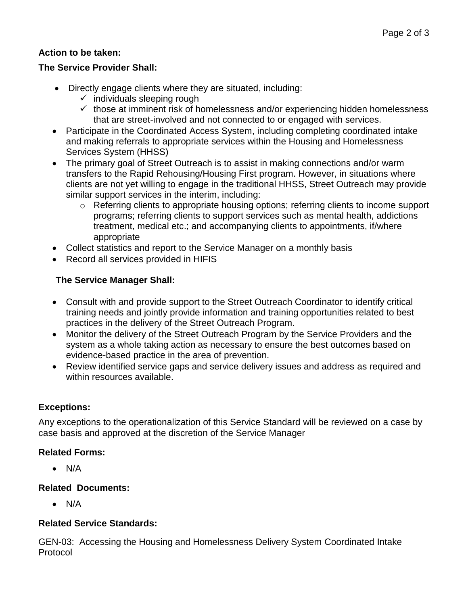# **Action to be taken:**

### **The Service Provider Shall:**

- Directly engage clients where they are situated, including:
	- $\checkmark$  individuals sleeping rough
	- $\checkmark$  those at imminent risk of homelessness and/or experiencing hidden homelessness that are street-involved and not connected to or engaged with services.
- Participate in the Coordinated Access System, including completing coordinated intake and making referrals to appropriate services within the Housing and Homelessness Services System (HHSS)
- The primary goal of Street Outreach is to assist in making connections and/or warm transfers to the Rapid Rehousing/Housing First program. However, in situations where clients are not yet willing to engage in the traditional HHSS, Street Outreach may provide similar support services in the interim, including:
	- o Referring clients to appropriate housing options; referring clients to income support programs; referring clients to support services such as mental health, addictions treatment, medical etc.; and accompanying clients to appointments, if/where appropriate
- Collect statistics and report to the Service Manager on a monthly basis
- Record all services provided in HIFIS

### **The Service Manager Shall:**

- Consult with and provide support to the Street Outreach Coordinator to identify critical training needs and jointly provide information and training opportunities related to best practices in the delivery of the Street Outreach Program.
- Monitor the delivery of the Street Outreach Program by the Service Providers and the system as a whole taking action as necessary to ensure the best outcomes based on evidence-based practice in the area of prevention.
- Review identified service gaps and service delivery issues and address as required and within resources available.

### **Exceptions:**

Any exceptions to the operationalization of this Service Standard will be reviewed on a case by case basis and approved at the discretion of the Service Manager

### **Related Forms:**

 $\bullet$  N/A

### **Related Documents:**

 $\bullet$  N/A

### **Related Service Standards:**

GEN-03: Accessing the Housing and Homelessness Delivery System Coordinated Intake Protocol